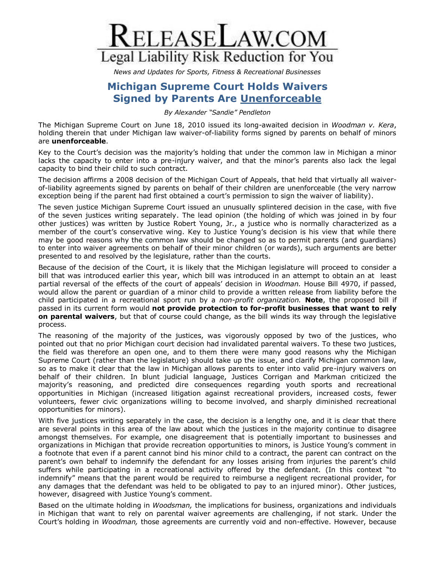

*News and Updates for Sports, Fitness & Recreational Businesses*

## **Michigan Supreme Court Holds Waivers Signed by Parents Are Unenforceable**

*By Alexander "Sandie" Pendleton*

The Michigan Supreme Court on June 18, 2010 issued its long-awaited decision in *Woodman v. Kera*, holding therein that under Michigan law waiver-of-liability forms signed by parents on behalf of minors are **unenforceable**.

Key to the Court's decision was the majority's holding that under the common law in Michigan a minor lacks the capacity to enter into a pre-injury waiver, and that the minor's parents also lack the legal capacity to bind their child to such contract.

The decision affirms a 2008 decision of the Michigan Court of Appeals, that held that virtually all waiverof-liability agreements signed by parents on behalf of their children are unenforceable (the very narrow exception being if the parent had first obtained a court's permission to sign the waiver of liability).

The seven justice Michigan Supreme Court issued an unusually splintered decision in the case, with five of the seven justices writing separately. The lead opinion (the holding of which was joined in by four other justices) was written by Justice Robert Young, Jr., a justice who is normally characterized as a member of the court's conservative wing. Key to Justice Young's decision is his view that while there may be good reasons why the common law should be changed so as to permit parents (and guardians) to enter into waiver agreements on behalf of their minor children (or wards), such arguments are better presented to and resolved by the legislature, rather than the courts.

Because of the decision of the Court, it is likely that the Michigan legislature will proceed to consider a bill that was introduced earlier this year, which bill was introduced in an attempt to obtain an at least partial reversal of the effects of the court of appeals' decision in *Woodman.* House Bill 4970, if passed, would allow the parent or guardian of a minor child to provide a written release from liability before the child participated in a recreational sport run by a *non-profit organization.* **Note**, the proposed bill if passed in its current form would **not provide protection to for-profit businesses that want to rely on parental waivers**, but that of course could change, as the bill winds its way through the legislative process.

The reasoning of the majority of the justices, was vigorously opposed by two of the justices, who pointed out that no prior Michigan court decision had invalidated parental waivers. To these two justices, the field was therefore an open one, and to them there were many good reasons why the Michigan Supreme Court (rather than the legislature) should take up the issue, and clarify Michigan common law, so as to make it clear that the law in Michigan allows parents to enter into valid pre-injury waivers on behalf of their children. In blunt judicial language, Justices Corrigan and Markman criticized the majority's reasoning, and predicted dire consequences regarding youth sports and recreational opportunities in Michigan (increased litigation against recreational providers, increased costs, fewer volunteers, fewer civic organizations willing to become involved, and sharply diminished recreational opportunities for minors).

With five justices writing separately in the case, the decision is a lengthy one, and it is clear that there are several points in this area of the law about which the justices in the majority continue to disagree amongst themselves. For example, one disagreement that is potentially important to businesses and organizations in Michigan that provide recreation opportunities to minors, is Justice Young's comment in a footnote that even if a parent cannot bind his minor child to a contract, the parent can contract on the parent's own behalf to indemnify the defendant for any losses arising from injuries the parent's child suffers while participating in a recreational activity offered by the defendant. (In this context "to indemnify" means that the parent would be required to reimburse a negligent recreational provider, for any damages that the defendant was held to be obligated to pay to an injured minor). Other justices, however, disagreed with Justice Young's comment.

Based on the ultimate holding in *Woodsman,* the implications for business, organizations and individuals in Michigan that want to rely on parental waiver agreements are challenging, if not stark. Under the Court's holding in *Woodman,* those agreements are currently void and non-effective. However, because